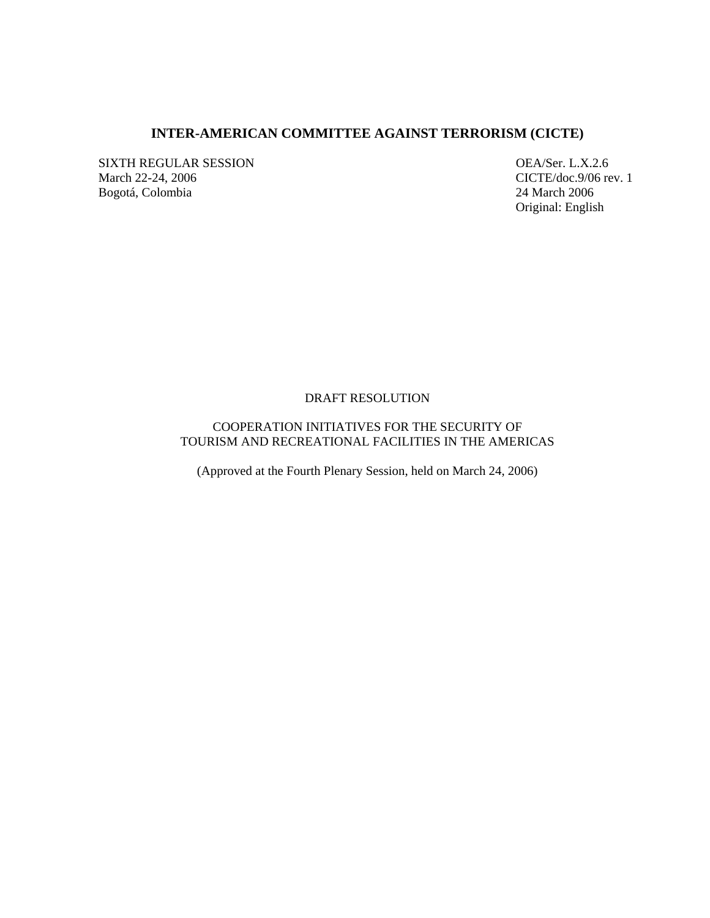# **INTER-AMERICAN COMMITTEE AGAINST TERRORISM (CICTE)**

SIXTH REGULAR SESSION OEA/Ser. L.X.2.6 March 22-24, 2006<br>
Bogotá, Colombia 24 March 2006<br>
24 March 2006 Bogotá, Colombia

Original: English

### DRAFT RESOLUTION

# COOPERATION INITIATIVES FOR THE SECURITY OF TOURISM AND RECREATIONAL FACILITIES IN THE AMERICAS

(Approved at the Fourth Plenary Session, held on March 24, 2006)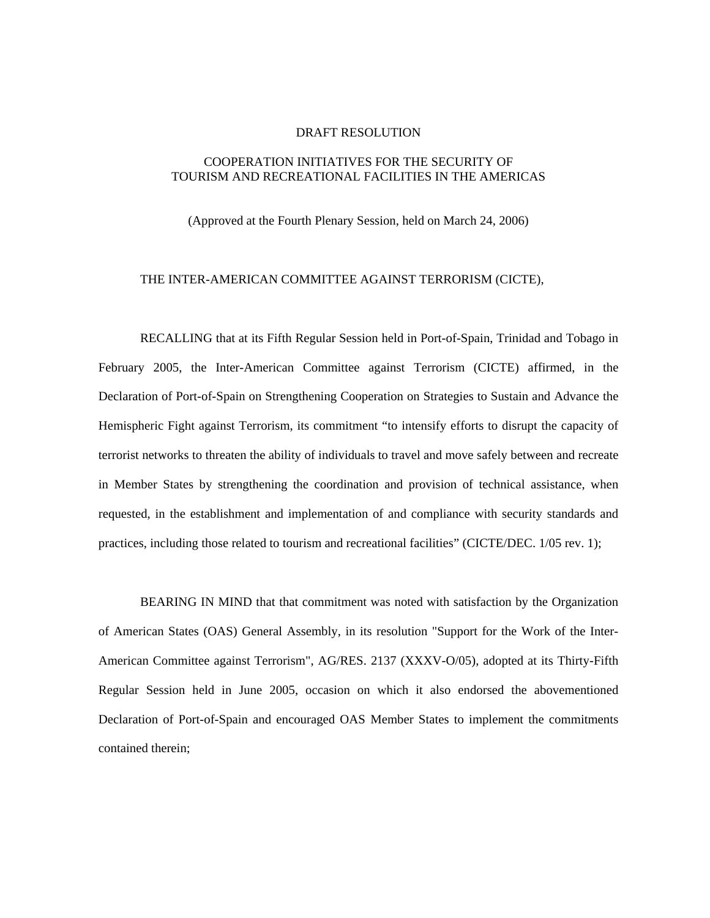### DRAFT RESOLUTION

# COOPERATION INITIATIVES FOR THE SECURITY OF TOURISM AND RECREATIONAL FACILITIES IN THE AMERICAS

(Approved at the Fourth Plenary Session, held on March 24, 2006)

#### THE INTER-AMERICAN COMMITTEE AGAINST TERRORISM (CICTE),

RECALLING that at its Fifth Regular Session held in Port-of-Spain, Trinidad and Tobago in February 2005, the Inter-American Committee against Terrorism (CICTE) affirmed, in the Declaration of Port-of-Spain on Strengthening Cooperation on Strategies to Sustain and Advance the Hemispheric Fight against Terrorism, its commitment "to intensify efforts to disrupt the capacity of terrorist networks to threaten the ability of individuals to travel and move safely between and recreate in Member States by strengthening the coordination and provision of technical assistance, when requested, in the establishment and implementation of and compliance with security standards and practices, including those related to tourism and recreational facilities" (CICTE/DEC. 1/05 rev. 1);

 BEARING IN MIND that that commitment was noted with satisfaction by the Organization of American States (OAS) General Assembly, in its resolution "Support for the Work of the Inter-American Committee against Terrorism", AG/RES. 2137 (XXXV-O/05), adopted at its Thirty-Fifth Regular Session held in June 2005, occasion on which it also endorsed the abovementioned Declaration of Port-of-Spain and encouraged OAS Member States to implement the commitments contained therein;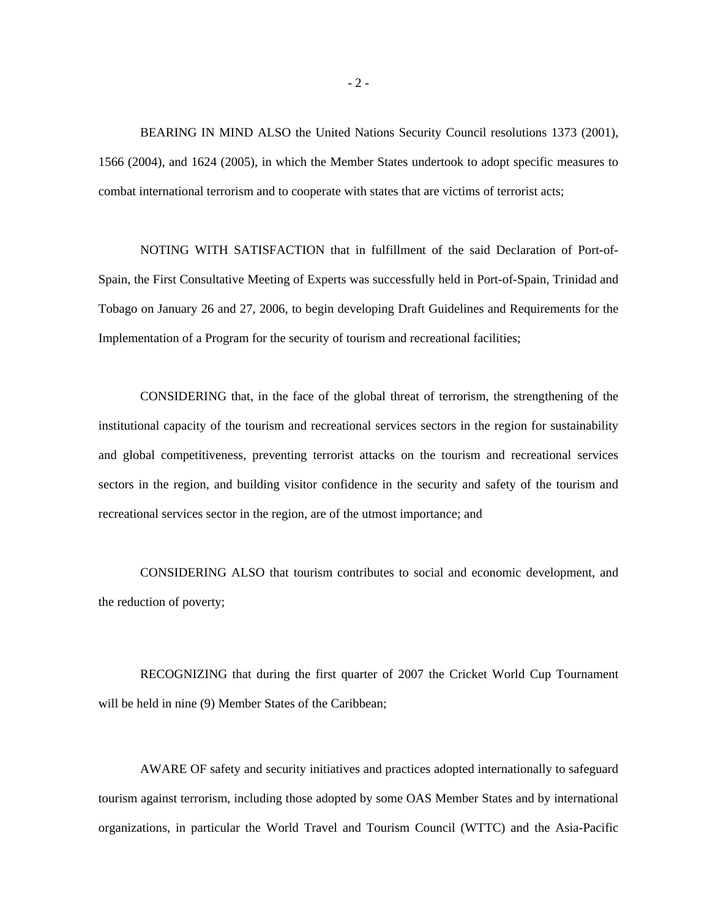BEARING IN MIND ALSO the United Nations Security Council resolutions 1373 (2001), 1566 (2004), and 1624 (2005), in which the Member States undertook to adopt specific measures to combat international terrorism and to cooperate with states that are victims of terrorist acts;

NOTING WITH SATISFACTION that in fulfillment of the said Declaration of Port-of-Spain, the First Consultative Meeting of Experts was successfully held in Port-of-Spain, Trinidad and Tobago on January 26 and 27, 2006, to begin developing Draft Guidelines and Requirements for the Implementation of a Program for the security of tourism and recreational facilities;

CONSIDERING that, in the face of the global threat of terrorism, the strengthening of the institutional capacity of the tourism and recreational services sectors in the region for sustainability and global competitiveness, preventing terrorist attacks on the tourism and recreational services sectors in the region, and building visitor confidence in the security and safety of the tourism and recreational services sector in the region, are of the utmost importance; and

 CONSIDERING ALSO that tourism contributes to social and economic development, and the reduction of poverty;

RECOGNIZING that during the first quarter of 2007 the Cricket World Cup Tournament will be held in nine (9) Member States of the Caribbean;

 AWARE OF safety and security initiatives and practices adopted internationally to safeguard tourism against terrorism, including those adopted by some OAS Member States and by international organizations, in particular the World Travel and Tourism Council (WTTC) and the Asia-Pacific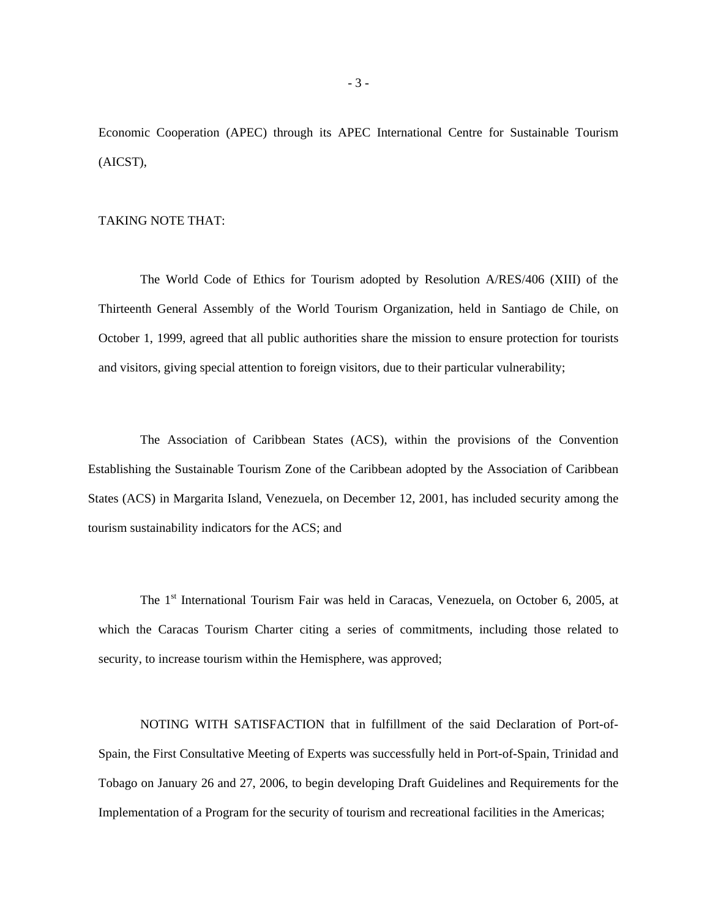Economic Cooperation (APEC) through its APEC International Centre for Sustainable Tourism (AICST),

#### TAKING NOTE THAT:

The World Code of Ethics for Tourism adopted by Resolution A/RES/406 (XIII) of the Thirteenth General Assembly of the World Tourism Organization, held in Santiago de Chile, on October 1, 1999, agreed that all public authorities share the mission to ensure protection for tourists and visitors, giving special attention to foreign visitors, due to their particular vulnerability;

The Association of Caribbean States (ACS), within the provisions of the Convention Establishing the Sustainable Tourism Zone of the Caribbean adopted by the Association of Caribbean States (ACS) in Margarita Island, Venezuela, on December 12, 2001, has included security among the tourism sustainability indicators for the ACS; and

The 1<sup>st</sup> International Tourism Fair was held in Caracas, Venezuela, on October 6, 2005, at which the Caracas Tourism Charter citing a series of commitments, including those related to security, to increase tourism within the Hemisphere, was approved;

NOTING WITH SATISFACTION that in fulfillment of the said Declaration of Port-of-Spain, the First Consultative Meeting of Experts was successfully held in Port-of-Spain, Trinidad and Tobago on January 26 and 27, 2006, to begin developing Draft Guidelines and Requirements for the Implementation of a Program for the security of tourism and recreational facilities in the Americas;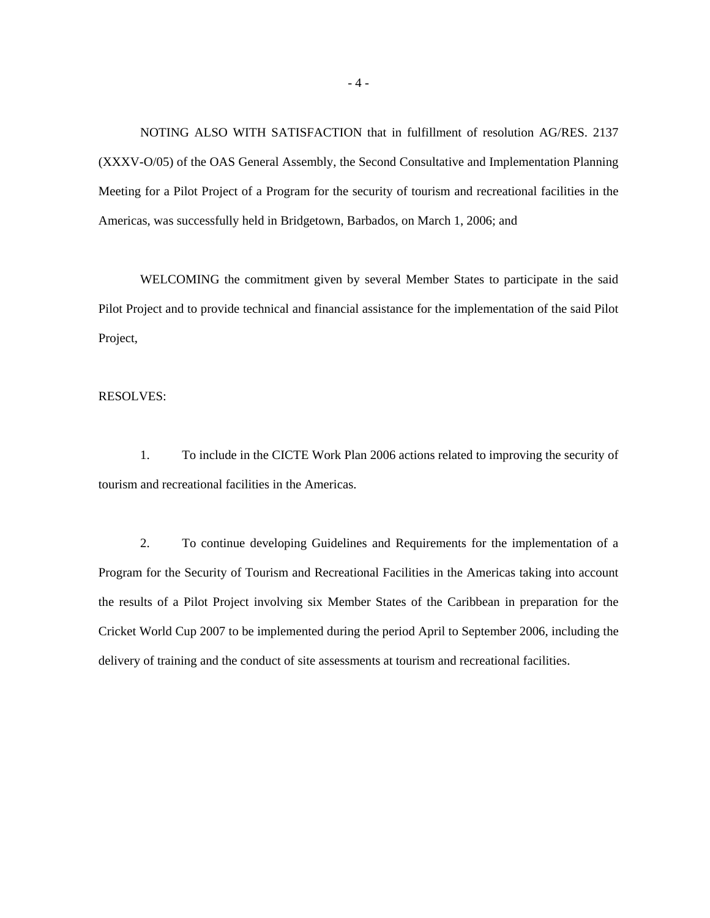NOTING ALSO WITH SATISFACTION that in fulfillment of resolution AG/RES. 2137 (XXXV-O/05) of the OAS General Assembly, the Second Consultative and Implementation Planning Meeting for a Pilot Project of a Program for the security of tourism and recreational facilities in the Americas, was successfully held in Bridgetown, Barbados, on March 1, 2006; and

WELCOMING the commitment given by several Member States to participate in the said Pilot Project and to provide technical and financial assistance for the implementation of the said Pilot Project,

RESOLVES:

1. To include in the CICTE Work Plan 2006 actions related to improving the security of tourism and recreational facilities in the Americas.

2. To continue developing Guidelines and Requirements for the implementation of a Program for the Security of Tourism and Recreational Facilities in the Americas taking into account the results of a Pilot Project involving six Member States of the Caribbean in preparation for the Cricket World Cup 2007 to be implemented during the period April to September 2006, including the delivery of training and the conduct of site assessments at tourism and recreational facilities.